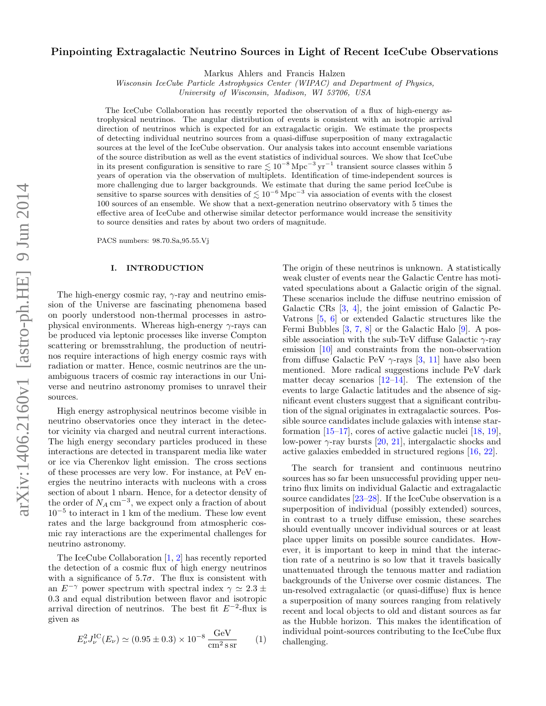# Pinpointing Extragalactic Neutrino Sources in Light of Recent IceCube Observations

Markus Ahlers and Francis Halzen

Wisconsin IceCube Particle Astrophysics Center (WIPAC) and Department of Physics,

University of Wisconsin, Madison, WI 53706, USA

The IceCube Collaboration has recently reported the observation of a flux of high-energy astrophysical neutrinos. The angular distribution of events is consistent with an isotropic arrival direction of neutrinos which is expected for an extragalactic origin. We estimate the prospects of detecting individual neutrino sources from a quasi-diffuse superposition of many extragalactic sources at the level of the IceCube observation. Our analysis takes into account ensemble variations of the source distribution as well as the event statistics of individual sources. We show that IceCube in its present configuration is sensitive to rare  $\lesssim 10^{-8}$  Mpc<sup>-3</sup> yr<sup>-1</sup> transient source classes within 5 years of operation via the observation of multiplets. Identification of time-independent sources is more challenging due to larger backgrounds. We estimate that during the same period IceCube is sensitive to sparse sources with densities of  $\lesssim 10^{-6}$  Mpc<sup>-3</sup> via association of events with the closest 100 sources of an ensemble. We show that a next-generation neutrino observatory with 5 times the effective area of IceCube and otherwise similar detector performance would increase the sensitivity to source densities and rates by about two orders of magnitude.

PACS numbers: 98.70.Sa,95.55.Vj

#### I. INTRODUCTION

The high-energy cosmic ray,  $\gamma$ -ray and neutrino emission of the Universe are fascinating phenomena based on poorly understood non-thermal processes in astrophysical environments. Whereas high-energy  $\gamma$ -rays can be produced via leptonic processes like inverse Compton scattering or bremsstrahlung, the production of neutrinos require interactions of high energy cosmic rays with radiation or matter. Hence, cosmic neutrinos are the unambiguous tracers of cosmic ray interactions in our Universe and neutrino astronomy promises to unravel their sources.

High energy astrophysical neutrinos become visible in neutrino observatories once they interact in the detector vicinity via charged and neutral current interactions. The high energy secondary particles produced in these interactions are detected in transparent media like water or ice via Cherenkov light emission. The cross sections of these processes are very low. For instance, at PeV energies the neutrino interacts with nucleons with a cross section of about 1 nbarn. Hence, for a detector density of the order of  $N_A \text{ cm}^{-3}$ , we expect only a fraction of about 10<sup>−</sup><sup>5</sup> to interact in 1 km of the medium. These low event rates and the large background from atmospheric cosmic ray interactions are the experimental challenges for neutrino astronomy.

The IceCube Collaboration [\[1,](#page-8-0) [2\]](#page-8-1) has recently reported the detection of a cosmic flux of high energy neutrinos with a significance of  $5.7\sigma$ . The flux is consistent with an  $E^{-\gamma}$  power spectrum with spectral index  $\gamma \simeq 2.3 \pm$ 0.3 and equal distribution between flavor and isotropic arrival direction of neutrinos. The best fit  $E^{-2}$ -flux is given as

<span id="page-0-0"></span>
$$
E_{\nu}^{2} J_{\nu}^{\text{IC}}(E_{\nu}) \simeq (0.95 \pm 0.3) \times 10^{-8} \frac{\text{GeV}}{\text{cm}^{2} \text{ssr}} \qquad (1)
$$

The origin of these neutrinos is unknown. A statistically weak cluster of events near the Galactic Centre has motivated speculations about a Galactic origin of the signal. These scenarios include the diffuse neutrino emission of Galactic CRs [\[3,](#page-8-2) [4\]](#page-8-3), the joint emission of Galactic Pe-Vatrons [\[5,](#page-8-4) [6\]](#page-8-5) or extended Galactic structures like the Fermi Bubbles [\[3,](#page-8-2) [7,](#page-8-6) [8\]](#page-8-7) or the Galactic Halo [\[9\]](#page-8-8). A possible association with the sub-TeV diffuse Galactic  $\gamma$ -ray emission [\[10\]](#page-8-9) and constraints from the non-observation from diffuse Galactic PeV  $\gamma$ -rays [\[3,](#page-8-2) [11\]](#page-8-10) have also been mentioned. More radical suggestions include PeV dark matter decay scenarios [\[12](#page-8-11)[–14\]](#page-8-12). The extension of the events to large Galactic latitudes and the absence of significant event clusters suggest that a significant contribution of the signal originates in extragalactic sources. Possible source candidates include galaxies with intense starformation  $[15-17]$ , cores of active galactic nuclei  $[18, 19]$  $[18, 19]$ , low-power  $\gamma$ -ray bursts [\[20,](#page-9-3) [21\]](#page-9-4), intergalactic shocks and active galaxies embedded in structured regions [\[16,](#page-8-14) [22\]](#page-9-5).

The search for transient and continuous neutrino sources has so far been unsuccessful providing upper neutrino flux limits on individual Galactic and extragalactic source candidates [\[23–](#page-9-6)[28\]](#page-9-7). If the IceCube observation is a superposition of individual (possibly extended) sources, in contrast to a truely diffuse emission, these searches should eventually uncover individual sources or at least place upper limits on possible source candidates. However, it is important to keep in mind that the interaction rate of a neutrino is so low that it travels basically unattenuated through the tenuous matter and radiation backgrounds of the Universe over cosmic distances. The un-resolved extragalactic (or quasi-diffuse) flux is hence a superposition of many sources ranging from relatively recent and local objects to old and distant sources as far as the Hubble horizon. This makes the identification of individual point-sources contributing to the IceCube flux challenging.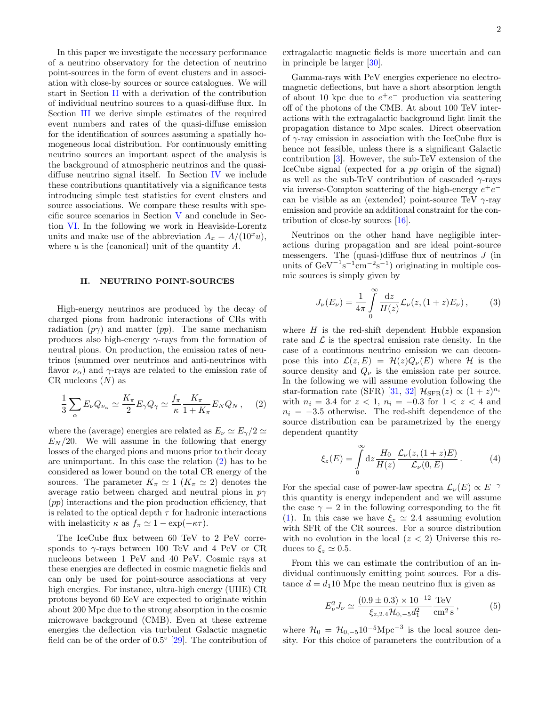In this paper we investigate the necessary performance of a neutrino observatory for the detection of neutrino point-sources in the form of event clusters and in association with close-by sources or source catalogues. We will start in Section [II](#page-1-0) with a derivation of the contribution of individual neutrino sources to a quasi-diffuse flux. In Section [III](#page-2-0) we derive simple estimates of the required event numbers and rates of the quasi-diffuse emission for the identification of sources assuming a spatially homogeneous local distribution. For continuously emitting neutrino sources an important aspect of the analysis is the background of atmospheric neutrinos and the quasidiffuse neutrino signal itself. In Section [IV](#page-3-0) we include these contributions quantitatively via a significance tests introducing simple test statistics for event clusters and source associations. We compare these results with specific source scenarios in Section [V](#page-4-0) and conclude in Section [VI.](#page-6-0) In the following we work in Heaviside-Lorentz units and make use of the abbreviation  $A_x = A/(10^x u)$ , where  $u$  is the (canonical) unit of the quantity  $A$ .

## <span id="page-1-0"></span>II. NEUTRINO POINT-SOURCES

High-energy neutrinos are produced by the decay of charged pions from hadronic interactions of CRs with radiation  $(p\gamma)$  and matter  $(pp)$ . The same mechanism produces also high-energy  $\gamma$ -rays from the formation of neutral pions. On production, the emission rates of neutrinos (summed over neutrinos and anti-neutrinos with flavor  $\nu_{\alpha}$ ) and  $\gamma$ -rays are related to the emission rate of CR nucleons  $(N)$  as

<span id="page-1-1"></span>
$$
\frac{1}{3}\sum_{\alpha} E_{\nu} Q_{\nu_{\alpha}} \simeq \frac{K_{\pi}}{2} E_{\gamma} Q_{\gamma} \simeq \frac{f_{\pi}}{\kappa} \frac{K_{\pi}}{1 + K_{\pi}} E_{N} Q_{N} , \quad (2)
$$

where the (average) energies are related as  $E_{\nu} \simeq E_{\gamma}/2 \simeq$  $E<sub>N</sub>/20$ . We will assume in the following that energy losses of the charged pions and muons prior to their decay are unimportant. In this case the relation [\(2\)](#page-1-1) has to be considered as lower bound on the total CR energy of the sources. The parameter  $K_{\pi} \simeq 1$   $(K_{\pi} \simeq 2)$  denotes the average ratio between charged and neutral pions in  $p\gamma$ (pp) interactions and the pion production efficiency, that is related to the optical depth  $\tau$  for hadronic interactions with inelasticity  $\kappa$  as  $f_{\pi} \simeq 1 - \exp(-\kappa \tau)$ .

The IceCube flux between 60 TeV to 2 PeV corresponds to  $\gamma$ -rays between 100 TeV and 4 PeV or CR nucleons between 1 PeV and 40 PeV. Cosmic rays at these energies are deflected in cosmic magnetic fields and can only be used for point-source associations at very high energies. For instance, ultra-high energy (UHE) CR protons beyond 60 EeV are expected to originate within about 200 Mpc due to the strong absorption in the cosmic microwave background (CMB). Even at these extreme energies the deflection via turbulent Galactic magnetic field can be of the order of 0.5° [\[29\]](#page-9-8). The contribution of

extragalactic magnetic fields is more uncertain and can in principle be larger [\[30\]](#page-9-9).

Gamma-rays with PeV energies experience no electromagnetic deflections, but have a short absorption length of about 10 kpc due to  $e^+e^-$  production via scattering off of the photons of the CMB. At about 100 TeV interactions with the extragalactic background light limit the propagation distance to Mpc scales. Direct observation of  $\gamma$ -ray emission in association with the IceCube flux is hence not feasible, unless there is a significant Galactic contribution [\[3\]](#page-8-2). However, the sub-TeV extension of the IceCube signal (expected for a pp origin of the signal) as well as the sub-TeV contribution of cascaded  $\gamma$ -rays via inverse-Compton scattering of the high-energy  $e^+e^$ can be visible as an (extended) point-source TeV  $\gamma$ -ray emission and provide an additional constraint for the contribution of close-by sources [\[16\]](#page-8-14).

Neutrinos on the other hand have negligible interactions during propagation and are ideal point-source messengers. The (quasi-)diffuse flux of neutrinos J (in units of  $\text{GeV}^{-1}\text{s}^{-1}\text{cm}^{-2}\text{s}^{-1}$  originating in multiple cosmic sources is simply given by

$$
J_{\nu}(E_{\nu}) = \frac{1}{4\pi} \int_{0}^{\infty} \frac{dz}{H(z)} \mathcal{L}_{\nu}(z, (1+z)E_{\nu}), \quad (3)
$$

where  $H$  is the red-shift dependent Hubble expansion rate and  $\mathcal L$  is the spectral emission rate density. In the case of a continuous neutrino emission we can decompose this into  $\mathcal{L}(z,E) = \mathcal{H}(z)Q_{\nu}(E)$  where H is the source density and  $Q_{\nu}$  is the emission rate per source. In the following we will assume evolution following the star-formation rate (SFR) [\[31,](#page-9-10) [32\]](#page-9-11)  $\mathcal{H}_{\text{SFR}}(z) \propto (1+z)^{n_i}$ with  $n_i = 3.4$  for  $z < 1$ ,  $n_i = -0.3$  for  $1 < z < 4$  and  $n_i = -3.5$  otherwise. The red-shift dependence of the source distribution can be parametrized by the energy dependent quantity

$$
\xi_z(E) = \int_0^\infty dz \frac{H_0}{H(z)} \frac{\mathcal{L}_\nu(z, (1+z)E)}{\mathcal{L}_\nu(0, E)}.
$$
 (4)

For the special case of power-law spectra  $\mathcal{L}_{\nu}(E) \propto E^{-\gamma}$ this quantity is energy independent and we will assume the case  $\gamma = 2$  in the following corresponding to the fit [\(1\)](#page-0-0). In this case we have  $\xi_z \simeq 2.4$  assuming evolution with SFR of the CR sources. For a source distribution with no evolution in the local  $(z < 2)$  Universe this reduces to  $\xi_z \simeq 0.5$ .

From this we can estimate the contribution of an individual continuously emitting point sources. For a distance  $d = d_1 10$  Mpc the mean neutrino flux is given as

<span id="page-1-2"></span>
$$
E_{\nu}^{2} J_{\nu} \simeq \frac{(0.9 \pm 0.3) \times 10^{-12}}{\xi_{z,2.4} \mathcal{H}_{0,-5} d_{1}^{2}} \frac{\text{TeV}}{\text{cm}^{2} \text{s}},\tag{5}
$$

where  $\mathcal{H}_0 = \mathcal{H}_{0,-5} 10^{-5} \text{Mpc}^{-3}$  is the local source density. For this choice of parameters the contribution of a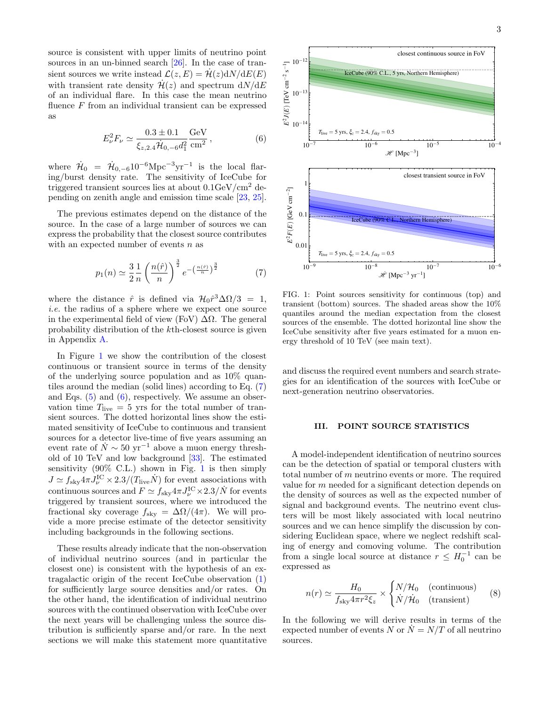source is consistent with upper limits of neutrino point sources in an un-binned search [\[26\]](#page-9-12). In the case of transient sources we write instead  $\mathcal{L}(z,E) = \mathcal{H}(z) dN/dE(E)$ with transient rate density  $\mathcal{H}(z)$  and spectrum  $dN/dE$ of an individual flare. In this case the mean neutrino fluence F from an individual transient can be expressed as

$$
E_{\nu}^{2}F_{\nu} \simeq \frac{0.3 \pm 0.1}{\xi_{z,2.4} \dot{\mathcal{H}}_{0,-6} d_{1}^{2}} \frac{\text{GeV}}{\text{cm}^{2}} ,\qquad (6)
$$

where  $\dot{\mathcal{H}}_0 = \dot{\mathcal{H}}_{0,-6} 10^{-6} \text{Mpc}^{-3} \text{yr}^{-1}$  is the local flaring/burst density rate. The sensitivity of IceCube for triggered transient sources lies at about  $0.1 \text{GeV/cm}^2$  depending on zenith angle and emission time scale [\[23,](#page-9-6) [25\]](#page-9-13).

The previous estimates depend on the distance of the source. In the case of a large number of sources we can express the probability that the closest source contributes with an expected number of events  $n$  as

<span id="page-2-2"></span>
$$
p_1(n) \simeq \frac{3}{2} \frac{1}{n} \left(\frac{n(\hat{r})}{n}\right)^{\frac{3}{2}} e^{-\left(\frac{n(\hat{r})}{n}\right)^{\frac{3}{2}}}
$$
(7)

where the distance  $\hat{r}$  is defined via  $\mathcal{H}_0 \hat{r}^3 \Delta \Omega / 3 = 1$ , i.e. the radius of a sphere where we expect one source in the experimental field of view (FoV)  $\Delta\Omega$ . The general probability distribution of the kth-closest source is given in Appendix [A.](#page-7-0)

In Figure [1](#page-2-1) we show the contribution of the closest continuous or transient source in terms of the density of the underlying source population and as  $10\%$  quantiles around the median (solid lines) according to Eq. [\(7\)](#page-2-2) and Eqs.  $(5)$  and  $(6)$ , respectively. We assume an observation time  $T_{\text{live}} = 5$  yrs for the total number of transient sources. The dotted horizontal lines show the estimated sensitivity of IceCube to continuous and transient sources for a detector live-time of five years assuming an event rate of  $\dot{N} \sim 50 \text{ yr}^{-1}$  above a muon energy threshold of 10 TeV and low background [\[33\]](#page-9-14). The estimated sensitivity (90% C.L.) shown in Fig. [1](#page-2-1) is then simply  $J \simeq f_{\rm sky} 4\pi J_\nu^{\rm IC} \times 2.3/(T_{\rm live} \dot{N})$  for event associations with continuous sources and  $F \simeq f_{\rm sky} 4\pi J_{\nu}^{\rm IC} \times 2.3/\dot{N}$  for events triggered by transient sources, where we introduced the fractional sky coverage  $f_{\rm sky} = \Delta\Omega/(4\pi)$ . We will provide a more precise estimate of the detector sensitivity including backgrounds in the following sections.

These results already indicate that the non-observation of individual neutrino sources (and in particular the closest one) is consistent with the hypothesis of an extragalactic origin of the recent IceCube observation [\(1\)](#page-0-0) for sufficiently large source densities and/or rates. On the other hand, the identification of individual neutrino sources with the continued observation with IceCube over the next years will be challenging unless the source distribution is sufficiently sparse and/or rare. In the next sections we will make this statement more quantitative

<span id="page-2-3"></span>

<span id="page-2-1"></span>FIG. 1: Point sources sensitivity for continuous (top) and transient (bottom) sources. The shaded areas show the 10% quantiles around the median expectation from the closest sources of the ensemble. The dotted horizontal line show the IceCube sensitivity after five years estimated for a muon energy threshold of 10 TeV (see main text).

and discuss the required event numbers and search strategies for an identification of the sources with IceCube or next-generation neutrino observatories.

# <span id="page-2-0"></span>III. POINT SOURCE STATISTICS

A model-independent identification of neutrino sources can be the detection of spatial or temporal clusters with total number of  $m$  neutrino events or more. The required value for m needed for a significant detection depends on the density of sources as well as the expected number of signal and background events. The neutrino event clusters will be most likely associated with local neutrino sources and we can hence simplify the discussion by considering Euclidean space, where we neglect redshift scaling of energy and comoving volume. The contribution from a single local source at distance  $r \leq H_0^{-1}$  can be expressed as

<span id="page-2-4"></span>
$$
n(r) \simeq \frac{H_0}{f_{\text{sky}} 4\pi r^2 \xi_z} \times \begin{cases} N/\mathcal{H}_0 & \text{(continuous)}\\ N/\dot{\mathcal{H}}_0 & \text{(transient)} \end{cases} \tag{8}
$$

In the following we will derive results in terms of the expected number of events N or  $N = N/T$  of all neutrino sources.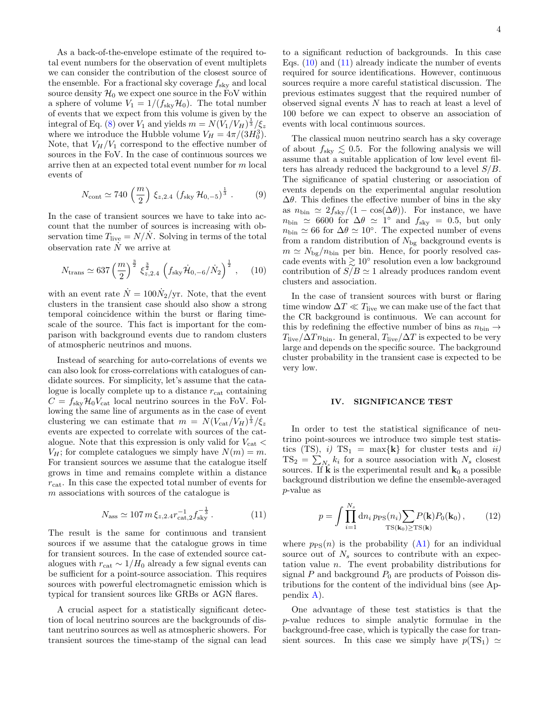As a back-of-the-envelope estimate of the required total event numbers for the observation of event multiplets we can consider the contribution of the closest source of the ensemble. For a fractional sky coverage  $f_{\text{sky}}$  and local source density  $\mathcal{H}_0$  we expect one source in the FoV within a sphere of volume  $V_1 = 1/(f_{\rm sky} \mathcal{H}_0)$ . The total number of events that we expect from this volume is given by the integral of Eq. [\(8\)](#page-2-4) over  $V_1$  and yields  $m = N(\widetilde{V}_1/V_H)^{\frac{1}{3}}/\xi_z$ where we introduce the Hubble volume  $V_H = 4\pi/(3H_0^3)$ . Note, that  $V_H/V_1$  correspond to the effective number of sources in the FoV. In the case of continuous sources we arrive then at an expected total event number for m local events of

<span id="page-3-3"></span>
$$
N_{\text{cont}} \simeq 740 \left(\frac{m}{2}\right) \xi_{z,2.4} \left(f_{\text{sky}} \mathcal{H}_{0,-5}\right)^{\frac{1}{3}}.
$$
 (9)

In the case of transient sources we have to take into account that the number of sources is increasing with observation time  $T_{\text{live}} = N/N$ . Solving in terms of the total observation rate  $N$  we arrive at

<span id="page-3-1"></span>
$$
N_{\text{trans}} \simeq 637 \left(\frac{m}{2}\right)^{\frac{3}{2}} \xi_{z,2.4}^{\frac{3}{2}} \left(f_{\text{sky}} \dot{\mathcal{H}}_{0,-6} / \dot{N}_2\right)^{\frac{1}{2}}, \quad (10)
$$

with an event rate  $\dot{N} = 100 \dot{N}_2/\text{yr}$ . Note, that the event clusters in the transient case should also show a strong temporal coincidence within the burst or flaring timescale of the source. This fact is important for the comparison with background events due to random clusters of atmospheric neutrinos and muons.

Instead of searching for auto-correlations of events we can also look for cross-correlations with catalogues of candidate sources. For simplicity, let's assume that the catalogue is locally complete up to a distance  $r_{\text{cat}}$  containing  $C = f_{\rm sky} \mathcal{H}_0 V_{\rm cat}$  local neutrino sources in the FoV. Following the same line of arguments as in the case of event clustering we can estimate that  $m = N(V_{\text{cat}}/V_H)^{\frac{1}{3}}/\xi_z$ events are expected to correlate with sources of the catalogue. Note that this expression is only valid for  $V_{\text{cat}}$  <  $V_H$ ; for complete catalogues we simply have  $N(m) = m$ . For transient sources we assume that the catalogue itself grows in time and remains complete within a distance  $r_{\text{cat}}$ . In this case the expected total number of events for m associations with sources of the catalogue is

<span id="page-3-2"></span>
$$
N_{\rm ass} \simeq 107 \, m \, \xi_{z,2.4} r_{\rm cat,2}^{-1} f_{\rm sky}^{-\frac{1}{3}} \,. \tag{11}
$$

The result is the same for continuous and transient sources if we assume that the catalogue grows in time for transient sources. In the case of extended source catalogues with  $r_{\text{cat}} \sim 1/H_0$  already a few signal events can be sufficient for a point-source association. This requires sources with powerful electromagnetic emission which is typical for transient sources like GRBs or AGN flares.

A crucial aspect for a statistically significant detection of local neutrino sources are the backgrounds of distant neutrino sources as well as atmospheric showers. For transient sources the time-stamp of the signal can lead to a significant reduction of backgrounds. In this case Eqs.  $(10)$  and  $(11)$  already indicate the number of events required for source identifications. However, continuous sources require a more careful statistical discussion. The previous estimates suggest that the required number of observed signal events N has to reach at least a level of 100 before we can expect to observe an association of events with local continuous sources.

The classical muon neutrino search has a sky coverage of about  $f_{\text{sky}} \lesssim 0.5$ . For the following analysis we will assume that a suitable application of low level event filters has already reduced the background to a level  $S/B$ . The significance of spatial clustering or association of events depends on the experimental angular resolution  $\Delta\theta$ . This defines the effective number of bins in the sky as  $n_{\text{bin}} \simeq 2f_{\text{sky}}/(1 - \cos(\Delta\theta)).$  For instance, we have  $n_{\text{bin}} \simeq 6600$  for  $\Delta\theta \simeq 1^{\circ}$  and  $f_{\text{sky}} = 0.5$ , but only  $n_{\text{bin}} \simeq 66$  for  $\Delta\theta \simeq 10^{\circ}$ . The expected number of evens from a random distribution of  $N_{\text{bg}}$  background events is  $m \simeq N_{\text{bg}}/n_{\text{bin}}$  per bin. Hence, for poorly resolved cascade events with  $\geq 10^{\circ}$  resolution even a low background contribution of  $S/B \simeq 1$  already produces random event clusters and association.

In the case of transient sources with burst or flaring time window  $\Delta T \ll T_{\text{live}}$  we can make use of the fact that the CR background is continuous. We can account for this by redefining the effective number of bins as  $n_{\text{bin}} \rightarrow$  $T_{\rm live}/\Delta T n_{\rm bin}$ . In general,  $T_{\rm live}/\Delta T$  is expected to be very large and depends on the specific source. The background cluster probability in the transient case is expected to be very low.

### <span id="page-3-0"></span>IV. SIGNIFICANCE TEST

In order to test the statistical significance of neutrino point-sources we introduce two simple test statistics (TS), i)  $TS_1 = max\{k\}$  for cluster tests and ii)  $TS_2 = \sum_{N_s} k_i$  for a source association with  $N_s$  closest sources. If  $\hat{\mathbf{k}}$  is the experimental result and  $\mathbf{k}_0$  a possible background distribution we define the ensemble-averaged p-value as

$$
p = \int \prod_{i=1}^{N_s} \mathrm{d}n_i \, p_{\rm PS}(n_i) \sum_{\mathrm{TS}(\mathbf{k}_0) \ge \mathrm{TS}(\mathbf{k})} P_0(\mathbf{k}_0) \,, \tag{12}
$$

where  $p_{PS}(n)$  is the probability [\(A1\)](#page-7-1) for an individual source out of  $N_s$  sources to contribute with an expectation value n. The event probability distributions for signal  $P$  and background  $P_0$  are products of Poisson distributions for the content of the individual bins (see Appendix [A\)](#page-7-0).

One advantage of these test statistics is that the p-value reduces to simple analytic formulae in the background-free case, which is typically the case for transient sources. In this case we simply have  $p(TS_1) \simeq$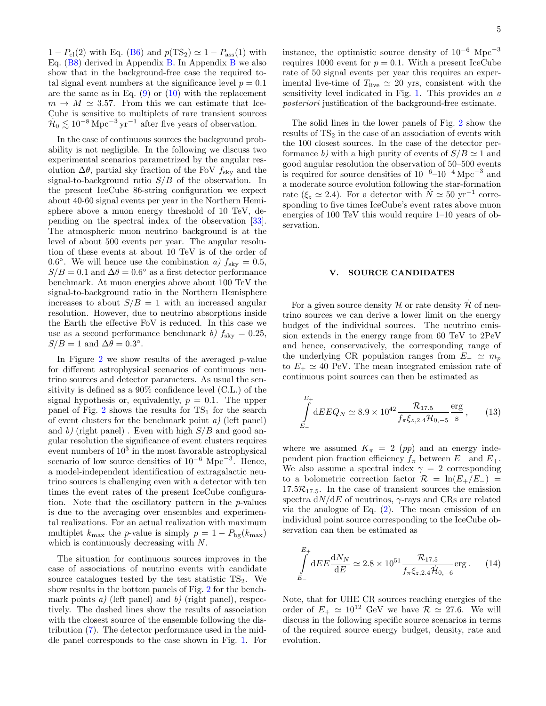$1 - P_{\text{cl}}(2)$  with Eq. [\(B6\)](#page-8-15) and  $p(\text{TS}_2) \simeq 1 - P_{\text{ass}}(1)$  with Eq.  $(B8)$  $(B8)$  $(B8)$  derived in Appendix [B.](#page-8-17) In Appendix B we also show that in the background-free case the required total signal event numbers at the significance level  $p = 0.1$ are the same as in Eq.  $(9)$  or  $(10)$  with the replacement  $m \to M \simeq 3.57$ . From this we can estimate that Ice-Cube is sensitive to multiplets of rare transient sources  $\dot{H}_0 \lesssim 10^{-8} \,\mathrm{Mpc}^{-3} \,\mathrm{yr}^{-1}$  after five years of observation.

In the case of continuous sources the background probability is not negligible. In the following we discuss two experimental scenarios parametrized by the angular resolution  $\Delta\theta$ , partial sky fraction of the FoV  $f_{\text{sky}}$  and the signal-to-background ratio  $S/B$  of the observation. In the present IceCube 86-string configuration we expect about 40-60 signal events per year in the Northern Hemisphere above a muon energy threshold of 10 TeV, depending on the spectral index of the observation [\[33\]](#page-9-14). The atmospheric muon neutrino background is at the level of about 500 events per year. The angular resolution of these events at about 10 TeV is of the order of 0.6°. We will hence use the combination a)  $f_{\text{sky}} = 0.5$ ,  $S/B = 0.1$  and  $\Delta\theta = 0.6^{\circ}$  as a first detector performance benchmark. At muon energies above about 100 TeV the signal-to-background ratio in the Northern Hemisphere increases to about  $S/B = 1$  with an increased angular resolution. However, due to neutrino absorptions inside the Earth the effective FoV is reduced. In this case we use as a second performance benchmark b)  $f_{\rm sky} = 0.25$ ,  $S/B = 1$  and  $\Delta\theta = 0.3^{\circ}$ .

In Figure  $2$  we show results of the averaged  $p$ -value for different astrophysical scenarios of continuous neutrino sources and detector parameters. As usual the sensitivity is defined as a 90% confidence level (C.L.) of the signal hypothesis or, equivalently,  $p = 0.1$ . The upper panel of Fig.  $2$  shows the results for  $TS_1$  for the search of event clusters for the benchmark point  $a$ ) (left panel) and b) (right panel). Even with high  $S/B$  and good angular resolution the significance of event clusters requires event numbers of  $10^3$  in the most favorable astrophysical scenario of low source densities of  $10^{-6}$  Mpc<sup>-3</sup>. Hence, a model-independent identification of extragalactic neutrino sources is challenging even with a detector with ten times the event rates of the present IceCube configuration. Note that the oscillatory pattern in the p-values is due to the averaging over ensembles and experimental realizations. For an actual realization with maximum multiplet  $k_{\text{max}}$  the p-value is simply  $p = 1 - P_{\text{bg}}(k_{\text{max}})$ which is continuously decreasing with N.

The situation for continuous sources improves in the case of associations of neutrino events with candidate source catalogues tested by the test statistic  $TS_2$ . We show results in the bottom panels of Fig. [2](#page-5-0) for the benchmark points a) (left panel) and b) (right panel), respectively. The dashed lines show the results of association with the closest source of the ensemble following the distribution [\(7\)](#page-2-2). The detector performance used in the middle panel corresponds to the case shown in Fig. [1.](#page-2-1) For

instance, the optimistic source density of  $10^{-6}$  Mpc<sup>-3</sup> requires 1000 event for  $p = 0.1$ . With a present IceCube rate of 50 signal events per year this requires an experimental live-time of  $T_{\text{live}} \simeq 20$  yrs, consistent with the sensitivity level indicated in Fig. [1.](#page-2-1) This provides an a posteriori justification of the background-free estimate.

The solid lines in the lower panels of Fig. [2](#page-5-0) show the results of  $TS<sub>2</sub>$  in the case of an association of events with the 100 closest sources. In the case of the detector performance b) with a high purity of events of  $S/B \simeq 1$  and good angular resolution the observation of 50–500 events is required for source densities of  $10^{-6}-10^{-4}$  Mpc<sup>-3</sup> and a moderate source evolution following the star-formation rate ( $\xi_z \simeq 2.4$ ). For a detector with  $N \simeq 50 \text{ yr}^{-1}$  corresponding to five times IceCube's event rates above muon energies of 100 TeV this would require 1–10 years of observation.

### <span id="page-4-0"></span>V. SOURCE CANDIDATES

For a given source density  $\mathcal H$  or rate density  $\mathcal H$  of neutrino sources we can derive a lower limit on the energy budget of the individual sources. The neutrino emission extends in the energy range from 60 TeV to 2PeV and hence, conservatively, the corresponding range of the underlying CR population ranges from  $E_-\simeq m_p$ to  $E_+ \simeq 40$  PeV. The mean integrated emission rate of continuous point sources can then be estimated as

<span id="page-4-1"></span>
$$
\int_{E_{-}}^{E_{+}} dE E Q_{N} \simeq 8.9 \times 10^{42} \frac{\mathcal{R}_{17.5}}{f_{\pi} \xi_{z,2.4} \mathcal{H}_{0,-5}} \frac{\text{erg}}{\text{s}},\qquad(13)
$$

where we assumed  $K_\pi = 2$  (pp) and an energy independent pion fraction efficiency  $f_{\pi}$  between  $E_{-}$  and  $E_{+}$ . We also assume a spectral index  $\gamma = 2$  corresponding to a bolometric correction factor  $\mathcal{R} = \ln(E_{+}/E_{-})$  $17.5\mathcal{R}_{17.5}$ . In the case of transient sources the emission spectra  $dN/dE$  of neutrinos,  $\gamma$ -rays and CRs are related via the analogue of Eq. [\(2\)](#page-1-1). The mean emission of an individual point source corresponding to the IceCube observation can then be estimated as

<span id="page-4-2"></span>
$$
\int_{E_{-}}^{E_{+}} dE E \frac{dN_{N}}{dE} \simeq 2.8 \times 10^{51} \frac{\mathcal{R}_{17.5}}{f_{\pi} \xi_{z,2.4} \dot{\mathcal{H}}_{0,-6}} \text{erg}. \qquad (14)
$$

Note, that for UHE CR sources reaching energies of the order of  $E_+ \simeq 10^{12}$  GeV we have  $\mathcal{R} \simeq 27.6$ . We will discuss in the following specific source scenarios in terms of the required source energy budget, density, rate and evolution.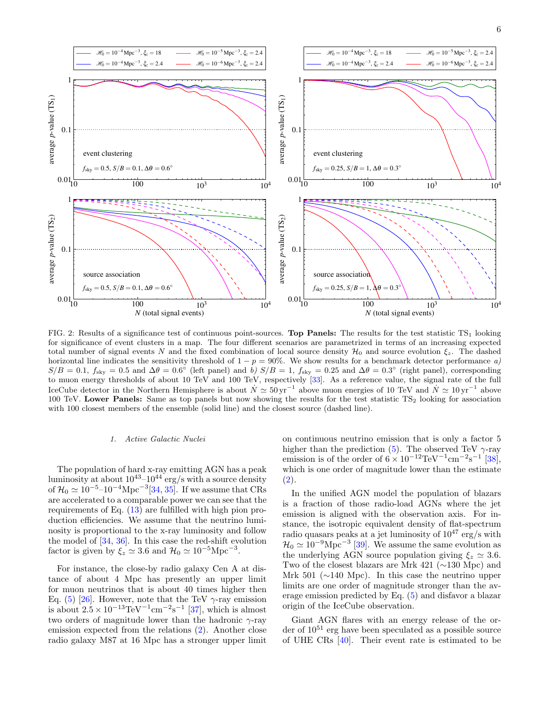

<span id="page-5-0"></span>FIG. 2: Results of a significance test of continuous point-sources. Top Panels: The results for the test statistic  $TS_1$  looking for significance of event clusters in a map. The four different scenarios are parametrized in terms of an increasing expected total number of signal events N and the fixed combination of local source density  $\mathcal{H}_0$  and source evolution  $\xi_z$ . The dashed horizontal line indicates the sensitivity threshold of  $1 - p = 90\%$ . We show results for a benchmark detector performance a)  $S/B = 0.1$ ,  $f_{\text{sky}} = 0.5$  and  $\Delta\theta = 0.6^{\circ}$  (left panel) and b)  $S/B = 1$ ,  $f_{\text{sky}} = 0.25$  and  $\Delta\theta = 0.3^{\circ}$  (right panel), corresponding to muon energy thresholds of about 10 TeV and 100 TeV, respectively [\[33\]](#page-9-14). As a reference value, the signal rate of the full IceCube detector in the Northern Hemisphere is about  $\dot{N} \simeq 50 \,\text{yr}^{-1}$  above muon energies of 10 TeV and  $\dot{N} \simeq 10 \,\text{yr}^{-1}$  above 100 TeV. Lower Panels: Same as top panels but now showing the results for the test statistic  $TS_2$  looking for association with 100 closest members of the ensemble (solid line) and the closest source (dashed line).

## 1. Active Galactic Nuclei

The population of hard x-ray emitting AGN has a peak luminosity at about  $10^{43}$ – $10^{44}$  erg/s with a source density of  $\mathcal{H}_0 \simeq 10^{-5}$ –10<sup>-4</sup>Mpc<sup>-3</sup>[\[34,](#page-9-15) [35\]](#page-9-16). If we assume that CRs are accelerated to a comparable power we can see that the requirements of Eq. [\(13\)](#page-4-1) are fulfilled with high pion production efficiencies. We assume that the neutrino luminosity is proportional to the x-ray luminosity and follow the model of [\[34,](#page-9-15) [36\]](#page-9-17). In this case the red-shift evolution factor is given by  $\xi_z \simeq 3.6$  and  $\mathcal{H}_0 \simeq 10^{-5} \text{Mpc}^{-3}$ .

For instance, the close-by radio galaxy Cen A at distance of about 4 Mpc has presently an upper limit for muon neutrinos that is about 40 times higher then Eq. [\(5\)](#page-1-2) [\[26\]](#page-9-12). However, note that the TeV  $\gamma$ -ray emission is about  $2.5 \times 10^{-13} \text{TeV}^{-1} \text{cm}^{-2} \text{s}^{-1}$  [\[37\]](#page-9-18), which is almost two orders of magnitude lower than the hadronic  $\gamma$ -ray emission expected from the relations [\(2\)](#page-1-1). Another close radio galaxy M87 at 16 Mpc has a stronger upper limit

on continuous neutrino emission that is only a factor 5 higher than the prediction [\(5\)](#page-1-2). The observed TeV  $\gamma$ -ray emission is of the order of  $6 \times 10^{-12} \text{TeV}^{-1} \text{cm}^{-2} \text{s}^{-1}$  [\[38\]](#page-9-19), which is one order of magnitude lower than the estimate [\(2\)](#page-1-1).

In the unified AGN model the population of blazars is a fraction of those radio-load AGNs where the jet emission is aligned with the observation axis. For instance, the isotropic equivalent density of flat-spectrum radio quasars peaks at a jet luminosity of  $10^{47}$  erg/s with  $\mathcal{H}_0 \simeq 10^{-9} \text{Mpc}^{-3}$  [\[39\]](#page-9-20). We assume the same evolution as the underlying AGN source population giving  $\xi_z \simeq 3.6$ . Two of the closest blazars are Mrk 421 (∼130 Mpc) and Mrk 501 (∼140 Mpc). In this case the neutrino upper limits are one order of magnitude stronger than the average emission predicted by Eq. [\(5\)](#page-1-2) and disfavor a blazar origin of the IceCube observation.

Giant AGN flares with an energy release of the order of  $10^{51}$  erg have been speculated as a possible source of UHE CRs [\[40\]](#page-9-21). Their event rate is estimated to be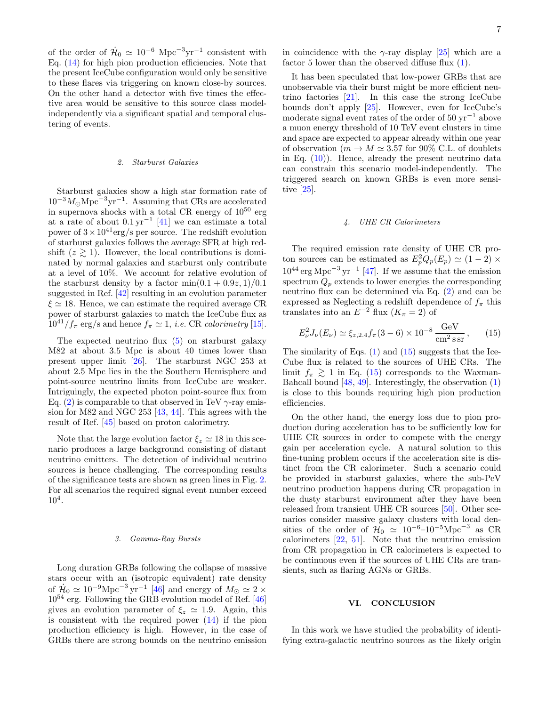of the order of  $\dot{\mathcal{H}}_0 \simeq 10^{-6}$  Mpc<sup>-3</sup>yr<sup>-1</sup> consistent with Eq. [\(14\)](#page-4-2) for high pion production efficiencies. Note that the present IceCube configuration would only be sensitive to these flares via triggering on known close-by sources. On the other hand a detector with five times the effective area would be sensitive to this source class modelindependently via a significant spatial and temporal clustering of events.

# 2. Starburst Galaxies

Starburst galaxies show a high star formation rate of  $10^{-3} M_{\odot} \text{Mpc}^{-3} \text{yr}^{-1}$ . Assuming that CRs are accelerated in supernova shocks with a total CR energy of  $10^{50}$  erg at a rate of about  $0.1 \,\mathrm{yr}^{-1}$  [\[41\]](#page-9-22) we can estimate a total power of  $3 \times 10^{41}$ erg/s per source. The redshift evolution of starburst galaxies follows the average SFR at high redshift  $(z \ge 1)$ . However, the local contributions is dominated by normal galaxies and starburst only contribute at a level of 10%. We account for relative evolution of the starburst density by a factor  $\min(0.1 + 0.9z, 1)/0.1$ suggested in Ref. [\[42\]](#page-9-23) resulting in an evolution parameter  $\xi \simeq 18$ . Hence, we can estimate the required average CR power of starburst galaxies to match the IceCube flux as  $10^{41}/f_{\pi}$  erg/s and hence  $f_{\pi} \simeq 1$ , *i.e.* CR *calorimetry* [\[15\]](#page-8-13).

The expected neutrino flux [\(5\)](#page-1-2) on starburst galaxy M82 at about 3.5 Mpc is about 40 times lower than present upper limit [\[26\]](#page-9-12). The starburst NGC 253 at about 2.5 Mpc lies in the the Southern Hemisphere and point-source neutrino limits from IceCube are weaker. Intriguingly, the expected photon point-source flux from Eq. [\(2\)](#page-1-1) is comparable to that observed in TeV  $\gamma$ -ray emission for M82 and NGC 253 [\[43,](#page-9-24) [44\]](#page-9-25). This agrees with the result of Ref. [\[45\]](#page-9-26) based on proton calorimetry.

Note that the large evolution factor  $\xi_z \simeq 18$  in this scenario produces a large background consisting of distant neutrino emitters. The detection of individual neutrino sources is hence challenging. The corresponding results of the significance tests are shown as green lines in Fig. [2.](#page-5-0) For all scenarios the required signal event number exceed 10<sup>4</sup> .

# 3. Gamma-Ray Bursts

Long duration GRBs following the collapse of massive stars occur with an (isotropic equivalent) rate density of  $\mathcal{H}_0 \simeq 10^{-9} \mathrm{Mpc}^{-3} \mathrm{yr}^{-1}$  [\[46\]](#page-9-27) and energy of  $M_\odot \simeq 2 \times$  $10^{54}$  erg. Following the GRB evolution model of Ref.  $\left[46\right]$ gives an evolution parameter of  $\xi_z \simeq 1.9$ . Again, this is consistent with the required power  $(14)$  if the pion production efficiency is high. However, in the case of GRBs there are strong bounds on the neutrino emission

in coincidence with the  $\gamma$ -ray display [\[25\]](#page-9-13) which are a factor 5 lower than the observed diffuse flux [\(1\)](#page-0-0).

It has been speculated that low-power GRBs that are unobservable via their burst might be more efficient neutrino factories [\[21\]](#page-9-4). In this case the strong IceCube bounds don't apply [\[25\]](#page-9-13). However, even for IceCube's moderate signal event rates of the order of  $50 \text{ yr}^{-1}$  above a muon energy threshold of 10 TeV event clusters in time and space are expected to appear already within one year of observation ( $m \to M \simeq 3.57$  for 90% C.L. of doublets in Eq. [\(10\)](#page-3-1)). Hence, already the present neutrino data can constrain this scenario model-independently. The triggered search on known GRBs is even more sensitive [\[25\]](#page-9-13).

## 4. UHE CR Calorimeters

The required emission rate density of UHE CR proton sources can be estimated as  $E_p^2 Q_p(E_p) \simeq (1 - 2) \times$  $10^{44}$  erg Mpc<sup>-3</sup> yr<sup>-1</sup> [\[47\]](#page-9-28). If we assume that the emission spectrum  $Q_p$  extends to lower energies the corresponding neutrino flux can be determined via Eq. [\(2\)](#page-1-1) and can be expressed as Neglecting a redshift dependence of  $f_{\pi}$  this translates into an  $E^{-2}$  flux  $(K_{\pi} = 2)$  of

<span id="page-6-1"></span>
$$
E_{\nu}^{2}J_{\nu}(E_{\nu}) \simeq \xi_{z,2.4} f_{\pi}(3-6) \times 10^{-8} \frac{\text{GeV}}{\text{cm}^{2}\text{ssr}} ,\qquad(15)
$$

The similarity of Eqs.  $(1)$  and  $(15)$  suggests that the Ice-Cube flux is related to the sources of UHE CRs. The limit  $f_{\pi} \geq 1$  in Eq. [\(15\)](#page-6-1) corresponds to the Waxman-Bahcall bound [\[48,](#page-9-29) [49\]](#page-9-30). Interestingly, the observation [\(1\)](#page-0-0) is close to this bounds requiring high pion production efficiencies.

On the other hand, the energy loss due to pion production during acceleration has to be sufficiently low for UHE CR sources in order to compete with the energy gain per acceleration cycle. A natural solution to this fine-tuning problem occurs if the acceleration site is distinct from the CR calorimeter. Such a scenario could be provided in starburst galaxies, where the sub-PeV neutrino production happens during CR propagation in the dusty starburst environment after they have been released from transient UHE CR sources [\[50\]](#page-9-31). Other scenarios consider massive galaxy clusters with local densities of the order of  $\mathcal{H}_0 \simeq 10^{-6} - 10^{-5}$ Mpc<sup>-3</sup> as CR calorimeters [\[22,](#page-9-5) [51\]](#page-9-32). Note that the neutrino emission from CR propagation in CR calorimeters is expected to be continuous even if the sources of UHE CRs are transients, such as flaring AGNs or GRBs.

# <span id="page-6-0"></span>VI. CONCLUSION

In this work we have studied the probability of identifying extra-galactic neutrino sources as the likely origin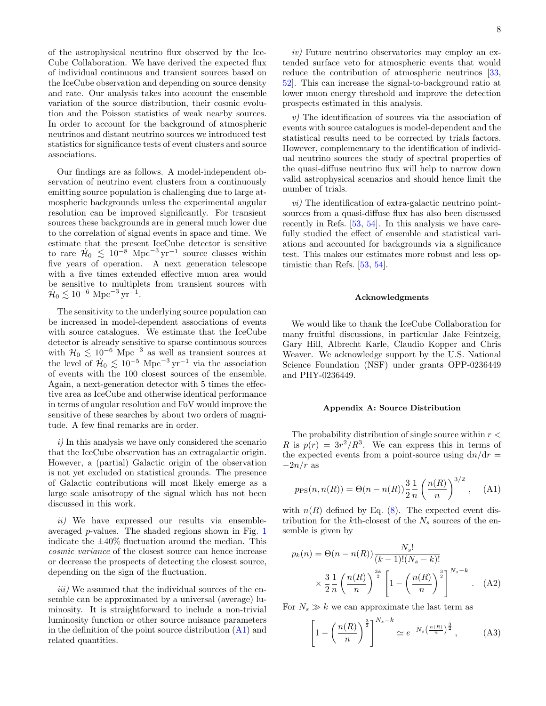of the astrophysical neutrino flux observed by the Ice-Cube Collaboration. We have derived the expected flux of individual continuous and transient sources based on the IceCube observation and depending on source density and rate. Our analysis takes into account the ensemble variation of the source distribution, their cosmic evolution and the Poisson statistics of weak nearby sources. In order to account for the background of atmospheric neutrinos and distant neutrino sources we introduced test statistics for significance tests of event clusters and source associations.

Our findings are as follows. A model-independent observation of neutrino event clusters from a continuously emitting source population is challenging due to large atmospheric backgrounds unless the experimental angular resolution can be improved significantly. For transient sources these backgrounds are in general much lower due to the correlation of signal events in space and time. We estimate that the present IceCube detector is sensitive to rare  $\dot{\mathcal{H}}_0 \leq 10^{-8} \text{ Mpc}^{-3} \text{ yr}^{-1}$  source classes within five years of operation. A next generation telescope with a five times extended effective muon area would be sensitive to multiplets from transient sources with  $\dot{\mathcal{H}}_{0} \lesssim 10^{-6} \; \text{Mpc}^{-3} \, \text{yr}^{-1}.$ 

The sensitivity to the underlying source population can be increased in model-dependent associations of events with source catalogues. We estimate that the IceCube detector is already sensitive to sparse continuous sources with  $\mathcal{H}_0 \lesssim 10^{-6}$  Mpc<sup>-3</sup> as well as transient sources at the level of  $\dot{H}_0 \lesssim 10^{-5} \text{ Mpc}^{-3} \text{ yr}^{-1}$  via the association of events with the 100 closest sources of the ensemble. Again, a next-generation detector with 5 times the effective area as IceCube and otherwise identical performance in terms of angular resolution and FoV would improve the sensitive of these searches by about two orders of magnitude. A few final remarks are in order.

i) In this analysis we have only considered the scenario that the IceCube observation has an extragalactic origin. However, a (partial) Galactic origin of the observation is not yet excluded on statistical grounds. The presence of Galactic contributions will most likely emerge as a large scale anisotropy of the signal which has not been discussed in this work.

ii) We have expressed our results via ensembleaveraged p-values. The shaded regions shown in Fig. [1](#page-2-1) indicate the  $\pm 40\%$  fluctuation around the median. This cosmic variance of the closest source can hence increase or decrease the prospects of detecting the closest source, depending on the sign of the fluctuation.

iii) We assumed that the individual sources of the ensemble can be approximated by a universal (average) luminosity. It is straightforward to include a non-trivial luminosity function or other source nuisance parameters in the definition of the point source distribution [\(A1\)](#page-7-1) and related quantities.

iv) Future neutrino observatories may employ an extended surface veto for atmospheric events that would reduce the contribution of atmospheric neutrinos [\[33,](#page-9-14) [52\]](#page-9-33). This can increase the signal-to-background ratio at lower muon energy threshold and improve the detection prospects estimated in this analysis.

v) The identification of sources via the association of events with source catalogues is model-dependent and the statistical results need to be corrected by trials factors. However, complementary to the identification of individual neutrino sources the study of spectral properties of the quasi-diffuse neutrino flux will help to narrow down valid astrophysical scenarios and should hence limit the number of trials.

vi) The identification of extra-galactic neutrino pointsources from a quasi-diffuse flux has also been discussed recently in Refs. [\[53,](#page-9-34) [54\]](#page-9-35). In this analysis we have carefully studied the effect of ensemble and statistical variations and accounted for backgrounds via a significance test. This makes our estimates more robust and less optimistic than Refs. [\[53,](#page-9-34) [54\]](#page-9-35).

# Acknowledgments

We would like to thank the IceCube Collaboration for many fruitful discussions, in particular Jake Feintzeig, Gary Hill, Albrecht Karle, Claudio Kopper and Chris Weaver. We acknowledge support by the U.S. National Science Foundation (NSF) under grants OPP-0236449 and PHY-0236449.

## <span id="page-7-0"></span>Appendix A: Source Distribution

The probability distribution of single source within  $r <$ R is  $p(r) = 3r^2/R^3$ . We can express this in terms of the expected events from a point-source using  $dn/dr =$  $-2n/r$  as

<span id="page-7-1"></span>
$$
p_{\rm PS}(n, n(R)) = \Theta(n - n(R)) \frac{3}{2} \frac{1}{n} \left(\frac{n(R)}{n}\right)^{3/2}, \quad \text{(A1)}
$$

with  $n(R)$  defined by Eq. [\(8\)](#page-2-4). The expected event distribution for the kth-closest of the  $N_s$  sources of the ensemble is given by

$$
p_k(n) = \Theta(n - n(R)) \frac{N_s!}{(k-1)!(N_s - k)!}
$$
  
 
$$
\times \frac{3}{2} \frac{1}{n} \left(\frac{n(R)}{n}\right)^{\frac{3k}{2}} \left[1 - \left(\frac{n(R)}{n}\right)^{\frac{3}{2}}\right]^{N_s - k} .
$$
 (A2)

For  $N_s \gg k$  we can approximate the last term as

$$
\left[1 - \left(\frac{n(R)}{n}\right)^{\frac{3}{2}}\right]^{N_s - k} \simeq e^{-N_s \left(\frac{n(R)}{n}\right)^{\frac{3}{2}}},\tag{A3}
$$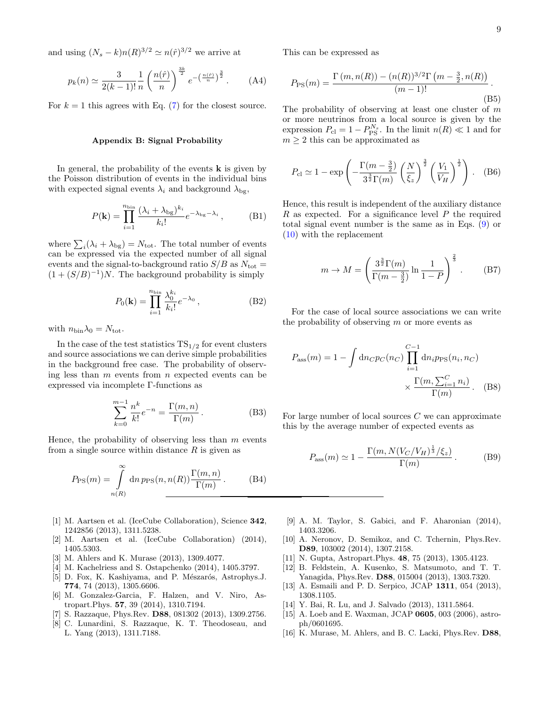and using  $(N_s - k)n(R)^{3/2} \simeq n(\hat{r})^{3/2}$  we arrive at

$$
p_k(n) \simeq \frac{3}{2(k-1)!} \frac{1}{n} \left(\frac{n(\hat{r})}{n}\right)^{\frac{3k}{2}} e^{-\left(\frac{n(\hat{r})}{n}\right)^{\frac{3}{2}}}.
$$
 (A4)

For  $k = 1$  this agrees with Eq. [\(7\)](#page-2-2) for the closest source.

### <span id="page-8-17"></span>Appendix B: Signal Probability

In general, the probability of the events  $\bf{k}$  is given by the Poisson distribution of events in the individual bins with expected signal events  $\lambda_i$  and background  $\lambda_{\text{bg}}$ ,

$$
P(\mathbf{k}) = \prod_{i=1}^{n_{\text{bin}}} \frac{(\lambda_i + \lambda_{\text{bg}})^{k_i}}{k_i!} e^{-\lambda_{\text{bg}} - \lambda_i}, \quad (B1)
$$

where  $\sum_i (\lambda_i + \lambda_{\text{bg}}) = N_{\text{tot}}$ . The total number of events can be expressed via the expected number of all signal events and the signal-to-background ratio  $S/B$  as  $N_{\text{tot}} =$  $(1 + (S/B)^{-1})N$ . The background probability is simply

$$
P_0(\mathbf{k}) = \prod_{i=1}^{n_{\text{bin}}} \frac{\lambda_0^{k_i}}{k_i!} e^{-\lambda_0}, \tag{B2}
$$

with  $n_{\text{bin}}\lambda_0 = N_{\text{tot}}$ .

In the case of the test statistics  $TS_{1/2}$  for event clusters and source associations we can derive simple probabilities in the background free case. The probability of observing less than  $m$  events from  $n$  expected events can be expressed via incomplete Γ-functions as

$$
\sum_{k=0}^{m-1} \frac{n^k}{k!} e^{-n} = \frac{\Gamma(m, n)}{\Gamma(m)}.
$$
 (B3)

Hence, the probability of observing less than  $m$  events from a single source within distance  $R$  is given as

$$
P_{\rm PS}(m) = \int_{n(R)}^{\infty} \mathrm{d}n \, p_{\rm PS}(n, n(R)) \frac{\Gamma(m, n)}{\Gamma(m)} . \tag{B4}
$$

- <span id="page-8-0"></span>[1] M. Aartsen et al. (IceCube Collaboration), Science 342, 1242856 (2013), 1311.5238.
- <span id="page-8-1"></span>[2] M. Aartsen et al. (IceCube Collaboration) (2014), 1405.5303.
- <span id="page-8-2"></span>[3] M. Ahlers and K. Murase (2013), 1309.4077.
- <span id="page-8-3"></span>[4] M. Kachelriess and S. Ostapchenko (2014), 1405.3797.
- <span id="page-8-4"></span>[5] D. Fox, K. Kashiyama, and P. Mészarós, Astrophys.J. 774, 74 (2013), 1305.6606.
- <span id="page-8-5"></span>[6] M. Gonzalez-Garcia, F. Halzen, and V. Niro, Astropart.Phys. 57, 39 (2014), 1310.7194.
- <span id="page-8-6"></span>S. Razzaque, Phys.Rev. D88, 081302 (2013), 1309.2756.
- <span id="page-8-7"></span>[8] C. Lunardini, S. Razzaque, K. T. Theodoseau, and L. Yang (2013), 1311.7188.

This can be expressed as

$$
P_{\rm PS}(m) = \frac{\Gamma(m, n(R)) - (n(R))^{3/2} \Gamma(m - \frac{3}{2}, n(R))}{(m - 1)!}.
$$
\n(B5)

The probability of observing at least one cluster of  $m$ or more neutrinos from a local source is given by the expression  $P_{\text{cl}} = 1 - P_{\text{PS}}^{N_s}$ . In the limit  $n(R) \ll 1$  and for  $m \geq 2$  this can be approximated as

<span id="page-8-15"></span>
$$
P_{\rm cl} \simeq 1 - \exp\left(-\frac{\Gamma(m - \frac{3}{2})}{3^{\frac{3}{2}}\Gamma(m)} \left(\frac{N}{\xi_z}\right)^{\frac{3}{2}} \left(\frac{V_1}{V_H}\right)^{\frac{1}{2}}\right). \quad (B6)
$$

Hence, this result is independent of the auxiliary distance R as expected. For a significance level  $P$  the required total signal event number is the same as in Eqs. [\(9\)](#page-3-3) or [\(10\)](#page-3-1) with the replacement

$$
m \to M = \left(\frac{3^{\frac{3}{2}}\Gamma(m)}{\Gamma(m - \frac{3}{2})} \ln \frac{1}{1 - P}\right)^{\frac{2}{3}}.
$$
 (B7)

For the case of local source associations we can write the probability of observing  $m$  or more events as

$$
P_{\text{ass}}(m) = 1 - \int \text{d}n_{C}p_{C}(n_{C}) \prod_{i=1}^{C-1} \text{d}n_{i}p_{\text{PS}}(n_{i}, n_{C})
$$

$$
\times \frac{\Gamma(m, \sum_{i=1}^{C} n_{i})}{\Gamma(m)}.
$$
 (B8)

For large number of local sources  $C$  we can approximate this by the average number of expected events as

<span id="page-8-16"></span>
$$
P_{\rm ass}(m) \simeq 1 - \frac{\Gamma(m, N(V_C/V_H)^{\frac{1}{3}}/\xi_z)}{\Gamma(m)}.
$$
 (B9)

- <span id="page-8-8"></span>[9] A. M. Taylor, S. Gabici, and F. Aharonian (2014), 1403.3206.
- <span id="page-8-9"></span>[10] A. Neronov, D. Semikoz, and C. Tchernin, Phys.Rev. D89, 103002 (2014), 1307.2158.
- <span id="page-8-10"></span>[11] N. Gupta, Astropart.Phys. 48, 75 (2013), 1305.4123.
- <span id="page-8-11"></span>[12] B. Feldstein, A. Kusenko, S. Matsumoto, and T. T. Yanagida, Phys.Rev. D88, 015004 (2013), 1303.7320.
- [13] A. Esmaili and P. D. Serpico, JCAP 1311, 054 (2013), 1308.1105.
- <span id="page-8-12"></span>[14] Y. Bai, R. Lu, and J. Salvado (2013), 1311.5864.
- <span id="page-8-13"></span>[15] A. Loeb and E. Waxman, JCAP 0605, 003 (2006), astroph/0601695.
- <span id="page-8-14"></span>[16] K. Murase, M. Ahlers, and B. C. Lacki, Phys.Rev. D88,